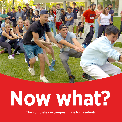

# **Now what?**

The complete on-campus guide for residents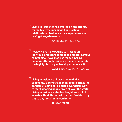**" Living in residence has created an opportunity for me to create meaningful and lasting relationships. Residence is an experience you can't get anywhere else. "**

— CATHY LIU, *CA in Cascade Hall*

**" Residence has allowed me to grow as an individual and connect me to the greater campus community. I have made so many amazing memories through residence that are definitely the highlights of my university experience. "**

— ALICE CHOI, *Senior CA in Yamnuska Hall*

**" Living in residence allowed me to find a community during challenging times such as the pandemic. Being here is such a wonderful way to meet amazing people from all over the world. Living in residence also has taught me a lot of valuable life skills that will be transferable to my day to day life after university. "**

— NUSRAT FARAH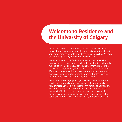# **Welcome to Residence and the University of Calgary**

We are excited that you decided to live in residence at the University of Calgary and would like to make your transition to your new home as smooth and stress-free as possible. You may be wondering, "Okay, here I am…now what"?

In this booklet you will find information on the "now what." from where to eat on campus, where to buy books and supplies, making payments and class schedules to information on the fitness facilities, how to get involved on campus and residence life, accessing academic and personal support programs and resources, connecting to Internet, important dates that you don't want to miss and a lot of the in between.

We want to encourage you to get involved in the campus and residence community, and that you take the opportunity to fully immerse yourself in all that the University of Calgary and Residence Services has to offer. This is your time — you are in the heart of it all, you are connected, you can make lasting memories and life-long friendships; your experience is what you make of it and we are here to help you make it amazing.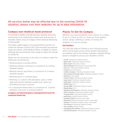#### All services below may be affected due to the evolving COVID-19 situation, please visit their websites for up to date information.

#### **Campus non-medical mask protocol**

To promote a healthy and safe learning, working, and living environment, non-medical face masks must now be worn in all public indoor areas at UCalgary where physical distancing is not possible.

The Public Health Agency of Canada (PHAC) and the U.S. Centre for Disease Control (CDC) both formally recommend mask use indoors. Chief Medical Officer of Health Dr. Deena Hinshaw also recommends mask usage to reduce the spread of COVID-19.

Masks are not necessary to be worn on campus under the following circumstances:

- Working alone in private offices
- Working outdoors and there is a minimum of 2 metres between people
- Meeting indoors and there is a minimum of 2 metres between people
- Working alone in a shared space
- Working in a cubicle with plexiglass, wall, or other approved barrier between people and when not providing services to anyone
- In a classroom where there is a minimum of 2 metres between instructor or among students

#### **[ucalgary.ca/risk/emergency-management/covid-19](http://ucalgary.ca/risk/emergency-management/covid-19-response/mask-faq) [response/mask-faq](http://ucalgary.ca/risk/emergency-management/covid-19-response/mask-faq)**

#### **Places To Eat On Campus**

Whether you want breakfast, lunch, dinner or a coffee to go or a snack on the run, there are food retailers across campus offering a variety of choices for whatever it is you're craving.

#### **Uni Dollars**

You may also add Uni Dollars to your Unicard account which can be spent at any of the vendors listed below (an asterisk next to the vendor indicates a Quality Money project, brought to you by your Students' Union):

- A & W\* (MacEwan Student Centre)
- Bake Chef\* (MacEwan Student Centre)
- Bento Sushi (Education Tower)
- Brew & Blendz (Kinesiology A & Scurfield Hall)
- Carl's Jr.\* (MacEwan Student Centre)
- Cinnzeo (Social Science)
- Coffee Company\* (MacEwan Student Centre)
- Dairy Queen & Orange Julius\* (MacEwan Student Centre)
- Domino's (Yamnuska)
- Freshco Poke\* (MacEwan Student Centre)
- Jugo Juice\* (MacEwan Student Centre)
- Kobe Beef\* (MacEwan Student Centre)
- KONZ Pizza (ICT)
- Korean BBQ\* (MacEwan Student Centre)
- Mighty Bowl (ICT)
- Noodle & Grill Express\* (MacEwan Student Centre)
- OPA! of Greece\* (MacEwan Student Centre)
- Oriental Wok\* (MacEwan Student Centre)
- purEATery (Health Science Centre)
- Sandwich Shack (Murray Fraser Hall)
- Starbucks (MacEwan Student Centre, Yamnuska)
- Subway\* (MacEwan Student Centre, Yamnuska)
- Tim Horton's (MacEwan Student Centre)
- The Landing (Dining Centre)
- UToppings Pizza Bistro\* (MacEwan Student Centre)
- Umi Sushi Express\* (MacEwan Student Centre)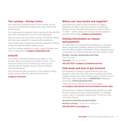#### **The Landing – Dining Centre**

Your meal plan provides access to The Landing, the All You Care to Eat facility located on the upper level of the Dining Centre.

The Landing will be open for dine-in service for the fall 2021 term with unlimited All You Care To Eat Meal plans.

Special events and community activities will still be offered and have been adapted to respect safety guidelines.

The Landing team is happy to work with students to ensure allergy and special dietary needs are met.

Visit The Landing website for menus, events calendar, and hours of operation at **[ucalgary.campusdish.com](http://ucalgary.campusdish.com)**.

#### **Unicard**

If you haven't already submitted your photo, it's not too late. Take your picture and submit it online — you'll receive an email once it is ready to go. Pick up your Unicard from the Campus Service Centre located in International House.

Your Unicard will get you access to The Landing, Fitness Centre, library resources, labs, and much more.

#### **[ucalgary.ca/unicard](http://ucalgary.ca/unicard)**

# **Where can I buy books and supplies?**

Everything you need is at the University of Calgary Bookstore, located in the lower level of the MacEwan Student Centre. Purchase everything you need in-store or online – books, load up on back-to-school supplies or purchase Dinos swag. **[ucalgary.ca/bookstore](http://ucalgary.ca/bookstore)**

# **Getting information on classes and payments**

For information on making tuition payments or questions about classes and schedules, please visit the Enrolment Services office located in MacKimmie Tower. Residence fees can be paid via online banking the same way tuition is paid.

**Monday, Tuesday, Wednesday and Friday** 9 a.m. to 4 p.m.

**Thursday** – 10 a.m. to 4 p.m.

**403.210.7625 | [ucalgary.ca/student-services](http://ucalgary.ca/student-services)**

#### **Club week and how to get involved**

Get involved on campus in many different ways! The Students' Union has over 300 clubs on campus that bring together people who share similar passions. Where can you find these clubs? Clubs Week in **#MyMacHall**. Whatever you're into, **#TheresAClubForThat!**

Check out the SU website for more information, **[su.ucalgary.ca/programs-services/students-union-clubs](http://su.ucalgary.ca/programs-services/students-union-clubs)**

All University of Calgary undergraduate students are part of the SU and you can get involved whether it is through a club, a job or a volunteer opportunity. To find out more,

visit their office at:

**Second level MacEwan Student Centre**

**Monday to Friday** – 8: 30 a.m. to 4:30 p.m.

**403.220.6551 | [su.ucalgary.ca](http://su.ucalgary.ca)**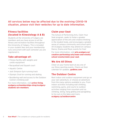#### All services below may be affected due to the evolving COVID-19 situation, please visit their websites for up to date information.

# **Fitness facilities (located in Kinesiology A & B)**

Students at the University of Calgary are members and you have access to all the fitness and recreation facilities throughout the University of Calgary. This is included in your student fees and your membership runs concurrent with each semester you are registered in.

#### **Take advantage of:**

- Fitness facility with weights and cardio equipment
- Racquetball and Squash court
- Aquatic Centre
- Jack Simpson Gym running track
- Olympic Oval for running and skating
- Bouldering wall and access to the Outdoor Centre's Climbing wall

#### For more information, visit **[active-living.](http://active-living.ucalgary.ca/memberships-drop/ucalgary-students-are-members) [ucalgary.ca/memberships-drop/ucalgary](http://active-living.ucalgary.ca/memberships-drop/ucalgary-students-are-members)[students-are-members](http://active-living.ucalgary.ca/memberships-drop/ucalgary-students-are-members)**.

#### **Claim your Seat**

The School of Performing Arts, Claim Your Seat program, seeks to foster a greater appreciation of the arts and creative thinking in the student body, and encourages a greater sense of campus community and school spirit. All UCalgary students may attend on-campus Dance, Drama and Music events for free!

For more information, visit **[arts.ucalgary.ca/](http://arts.ucalgary.ca/creative-performing-arts/news-and-events/school-events/claim-your-seat) [creative-performing-arts/news-and-events/](http://arts.ucalgary.ca/creative-performing-arts/news-and-events/school-events/claim-your-seat) [school-events/claim-your-seat](http://arts.ucalgary.ca/creative-performing-arts/news-and-events/school-events/claim-your-seat)**.

# **We Are All Dinos**

Cheer on your home team at any one of our Dinos sporting events. Check out their calendar for updates. **[godinos.com](http://godinos.com)**

# **The Outdoor Centre**

Rent indoor and outdoor equipment and go on your own adventure, or choose an adventure from the many options available to you. From indoor activities including wall climbing, swimming, gyms, and courts to outdoor activities ranging from mountain and ice climbing, skiing, hang gliding and paragliding to fun out on the lakes and rivers.

**[ucalgary.ca/outdoorcentre](http://ucalgary.ca/outdoorcentre)**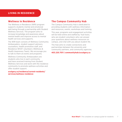#### **LIVING IN RESIDENCE**

#### **Wellness in Residence**

The Wellness in Residence (WIR) program supports students mental and emotional well-being through a partnership with Student Wellness Services. The program aims to increase knowledge and awareness about mental health and improve access to mental health services and supports.

The WIR team consists of Wellness Community Ambassadors, student support advisors, counsellors, health promotion staff, and Residence WHAT volunteers (Wellness & Health Awareness Team). We encourage you to talk to them at events and programs.

Wellness Community Ambassadors are students who live in each community and have received training from Student Wellness Services and work with the residence community to promote wellness activities and offer student support.

**[ucalgary.ca/residence/current-residents/](http://ucalgary.ca/residence/current-residents/services/wellness-residence) [services/wellness-residence](http://ucalgary.ca/residence/current-residents/services/wellness-residence)**

#### **The Campus Community Hub**

The Campus Community Hub is dedicated to providing students with wellness information and resources, events, workshops and training.

This year, programs and engagement activities will be held online and staffed by 'hub hosts,' who are student volunteers who can answer your questions about wellness resources on campus, and chat with you about student life.

The Hub aims to create connections and partnerships between the university and community partners, and community agencies.

**403.220.7011 | [communityhub@ucalgary.ca](mailto:communityhub@ucalgary.ca)**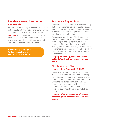#### **Residence news, information and events**

Stay connected when you live in residence and get all the latest information and news on what is happening in residence and on campus.

**The Buzz:** this is a twice monthly residence newsletter sent out on the 15th and the end of each month that will have news and information on everything residence.

**Facebook** – **[@ucalgaryRes](http://facebook.com/ucalgaryRes) Twitter** – **@[ucalgaryres](http://twitter.com/ucalgaryres) Instagram** – **[@ucalgaryres](http://instagram.com/ucalgaryres)**

#### **Residence Appeal Board**

The Residence Appeal Board is a judicial body that hears residence judicial/discipline cases that have reached the highest level of sanction to which a resident has requested an appeal based on appropriate criteria.

The purpose and charge of the board is to uphold community standards and maintain them as a just and equitable system. All members of the board receive special judicial training and are held to the highest standard of confidentiality and receive recognition on their Co-Curricular Record for their participation and involvement.

**[ucalgary.ca/ancillary/residence/current](http://ucalgary.ca/ancillary/residence/current-residents/get-involved/residence-appeal-board)[residents/get-involved/residence-appeal](http://ucalgary.ca/ancillary/residence/current-residents/get-involved/residence-appeal-board)[board](http://ucalgary.ca/ancillary/residence/current-residents/get-involved/residence-appeal-board)**

#### **The Residence Student Leadership Council (RSLC)**

The Residence Student Leadership Council (RSLC) is a student-led volunteer leadership group in residence that promotes, advocates, and represents students' interests and needs within the residence communities. RSLC members will collaborate with residence students on a variety of initiatives and decisions that impact their lives while living on campus.

**[ucalgary.ca/ancillary/residence/current](http://ucalgary.ca/ancillary/residence/current-residents/get-involved/residence-student-leaders)[residents/get-involved/residence-student](http://ucalgary.ca/ancillary/residence/current-residents/get-involved/residence-student-leaders)[leaders](http://ucalgary.ca/ancillary/residence/current-residents/get-involved/residence-student-leaders)**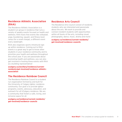# **Residence Athletic Association (RAA)**

The Residence Athletic Association is a student-run group in residence that runs a variety of weekly events focused on health and wellness. RAA hosts free events like volleyball, yoga, bouldering, squash, and fitness boot camp (for a small charge), a different event every weeknight.

RAA also organizes sports intramural sign up within residence. Coming out to RAA events is a great way to get to know other students in your residence community and to prioritize your health and wellness throughout the school year. If you are passionate about promoting health and wellness, you can also get involved in hosting these events with RAA as a building representative!

#### **[ucalgary.ca/ancillary/residence/current](http://ucalgary.ca/ancillary/residence/current-residents/get-involved/residence-athletic-association)[residents/get-involved/residence-athletic](http://ucalgary.ca/ancillary/residence/current-residents/get-involved/residence-athletic-association)[association](http://ucalgary.ca/ancillary/residence/current-residents/get-involved/residence-athletic-association)**

#### **The Residence Rainbow Council**

The Residence Rainbow Council is a student run organization formed by and built for the University of Calgary lgbtq+ residence community. Our goal is to provide lgbtq+ programs, events, advocacy, education, and outreach for all UCalgary residence. We are a community that fosters a safe, loving, and inclusive space for all.

#### **[ucalgary.ca/residence/current-residents/](http://ucalgary.ca/residence/current-residents/get-involved/residence-councils) [get-involved/residence-councils](http://ucalgary.ca/residence/current-residents/get-involved/residence-councils)**

#### **Residence Arts Council**

The Residence Arts Council consist of residents students who are interested and passionate about the arts. We work to provide and connect resident students with opportunities within all facets of the arts, including visual, photography, dance, music, drama and more!

**[ucalgary.ca/residence/current-residents/](http://ucalgary.ca/residence/current-residents/get-involved/residence-councils) [get-involved/residence-councils](http://ucalgary.ca/residence/current-residents/get-involved/residence-councils)**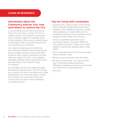#### **LIVING IN RESIDENCE**

#### **Information about the Community Advisor role, how (and when) to contact the CAs**

In your building you will find a Community Advisor for your floor or wing. The CA is a student leader in the residence community, and is a friendly support to students living in the residences; they are an excellent source of information and can provide resources for most questions you may have.

CAs organize ongoing events that bring the community together and provide a great way for students to get to know each other as well as their campus community. CAs also take turns being "On Call" in the residence buildings, and they work to ensure the safety and well-being of the students living in residence.

You will likely see the CAs walking through the buildings wearing vests. The CAs On Call are a resource for you to call after hours (when the Residence Services front desk is closed) if for instance you have been locked out of your room, you have a noise complaint, or a safety concern.

#### **Tips for living with roommates**

- Communicate, communicate, communicate! Most roommate disagreements and issues (whether it be regarding cleanliness, guests, sleep schedules, or study habits) can be remedied by talking. Don't be afraid to bring things up nicely if there are concerns.
- Fill out a roommate agreement (your Community Advisor has them) within the first week of moving in. These can be really helpful in opening up dialogue about living habits.
- Your roommate doesn't have to be your best friend, and that's okay.
- Respect your roommate's personal items.
- Be open to new things. Try to get to know your roommate by asking questions. Differences between you and your roommate can make for fun, new experiences.
- Have fun!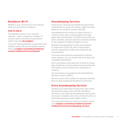#### **Residence Wi-Fi**

RezNet is your connection to the Internet while you are living in residence.

#### **How to log in:**

Find RezNet Secure in your wireless network – sign in using your UCalgary IT account (same username and password used to log into **[my.ucalgary](http://my.ucalgary)**)

If you are having problems connecting to the network, please fill out the RezNet request form at **ucalgary.ca/ancillary/residence/ current-residents/services/interne[t](http://ucalgary.ca/ancillary/residence/current-residents/services/internet)**

#### **Housekeeping Services**

Protocols for cleaning and disinfecting have been implemented to ensure the safety, health and wellbeing of our students, faculty and staff.

Housekeeping will continue to wipe surfaces in common areas with a cleaning agent and wipe again with a disinfectant. All high touch-points (ie: doors, handles, elevator buttons) are being cleaned to the standard of Alberta Health Services.

Resident Housekeeping is ready and prepared to respond to COVID-19, with a trained team, and the equipment to effectively eradicate any contamination.

From personal protective equipment to electrostatic sprayers, we can ensure that all surfaces are completely disinfected.

Strict procedures have been put in place to ensure that cleanliness is documented and measured with ATP testing, which assesses the cleanliness of surfaces.

Our procedures are guided by the Global Biorisk Advisory Council (GBAC).

We are excited and confident to welcome students back to well-maintained Residence Community.

# **Extra housekeeping Services**

Students are responsible to keep their own rooms and personal space clean and tidy. Residence Services is now offering housekeeping and laundry services for residents who may not have the time, or need help keeping up with weekly chores.

For more information on services and fees, please visit **[ucalgary.ca/ancillary/residence/current](http://ucalgary.ca/ancillary/residence/current-residents/services/housekeeping-services)[residents/services/housekeeping-services](http://ucalgary.ca/ancillary/residence/current-residents/services/housekeeping-services)**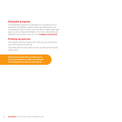#### **Safewalk program**

The Safewalk program is a student-run volunteer service designed to promote campus safety and awareness. By accessing this 24/7 service, you are able to safely walk with peers to any campus destination. For more information on Safewalk and campus security, visit **[ucalgary.ca/security](http://ucalgary.ca/security)**

#### **Picking up parcels**

The Campus Service Centre will notify you by email when you have a parcel to pick up.

The email will include: where to pick up the parcel and the office hours.

**Parcel pick-up tip: Please make sure to bring your Unicard or other government issued photo ID to pick up your parcel.**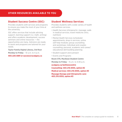#### **Student Success Centre (SSC)**

Provides students with services and programs to ensure you make the most of your time at the university.

SSC offers services that include advising support, learning support (i.e. math, writing) and offers academic development, success seminars and online resources — the opportunities are many. Advisiors are ready to assist and programs are tailored for your needs.

**Taylor Family Digital Library, 3rd floor Monday to Friday** – 10 a.m. to 4 p.m.

#### **403.220.5881 or [success@ucalgary.ca](mailto:success@ucalgary.ca)**

#### **Student Wellness Services**

Provides students with a wide variety of health and wellness services.

- Health Services (chiropractic; massage; walkin medical services; travel medicine clinic; nutrition)
- Mental Health Services (scheduled appointments; drop-in services; online self-help modules; group counselling and workshops; individual and couples counselling; personal, academic and career/ educational skill-building planning
- Student support and outreach
- Events and Programs

**Room 370, MacEwan Student Centre** 

**Monday to Friday** – 9 a.m. to 4:30 p.m.

**[ucalgary.ca/wellnesscentre](http://ucalgary.ca/wellnesscentre
)**

**Counselling: 403.210.9355, option #2 Medical services: 403.210.9355, option #3 Massage therapy and Chiropractic care: 403.210.9355, option #3**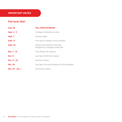# **IMPORTANT DATES**

# **Fall term 2021**

| <b>Aug. 28</b>   | <b>FALL MOVE IN BEGINS</b>                                          |
|------------------|---------------------------------------------------------------------|
| Sept. $2 - 3$    | <b>UCalgary Orientation online</b>                                  |
| Sept. 7          | Classes begin                                                       |
| Sept. 17         | First day to request room transfers                                 |
| Sept. 24         | Tuition and residence fees due.<br>Deadline for changing meal plan. |
| Nov. 7 - 13      | Term Break (no classes)                                             |
| Dec. 8           | Last day of fall term classes                                       |
| Dec. 11 - 22     | Fall term exams                                                     |
| <b>Dec. 24</b>   | Last day of accommodation for fall residents                        |
| Dec. 25 - Jan. 1 | University Closed                                                   |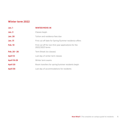#### **Winter term 2022**

| Jan.1              | <b>WINTER MOVE-IN</b>                                                    |
|--------------------|--------------------------------------------------------------------------|
| Jan.3              | Classes begin                                                            |
| <b>Jan. 28</b>     | Tuition and residence fees due                                           |
| <b>Jan. 31</b>     | First cut off date for Spring/Summer residence offers                    |
| <b>Feb. 10</b>     | First cut off for non-first year applications for the<br>2022/2023 terms |
| Feb. 20 - 26       | Term Break (no classes)                                                  |
| <b>April 12</b>    | Last day of winter term classes                                          |
| <b>April 19-29</b> | Winter term exams                                                        |
| <b>April 20</b>    | Room transfers for spring/summer residents begin                         |
| <b>April 30</b>    | Last day of accommodations for residents                                 |